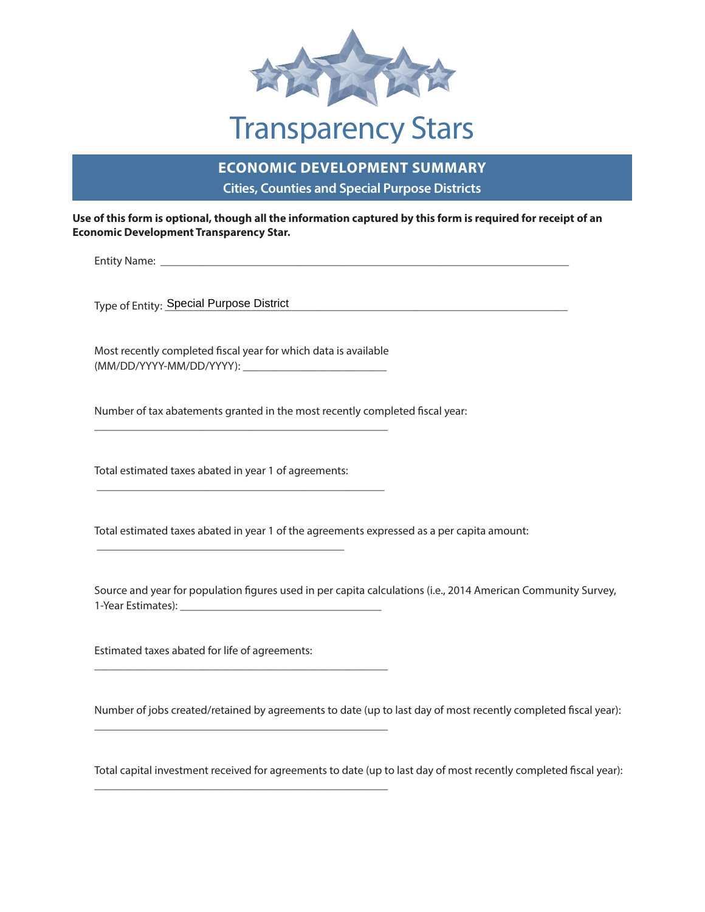

## Transparency Stars

## **ECONOMIC DEVELOPMENT SUMMARY Cities, Counties and Special Purpose Districts**

**Use of this form is optional, though all the information captured by this form is required for receipt of an Economic Development Transparency Star.**

\_\_\_\_\_\_\_\_\_\_\_\_\_\_\_\_\_\_\_\_\_\_\_\_\_\_\_\_\_\_\_\_\_\_\_\_\_\_\_\_\_\_\_\_\_\_\_\_\_\_\_\_\_\_\_\_\_\_\_\_\_\_\_\_\_\_\_\_\_\_\_ Entity Name:

\_\_\_\_\_\_\_\_\_\_\_\_\_\_\_\_\_\_\_\_\_\_\_\_\_\_\_\_\_\_\_\_\_\_\_\_\_\_\_\_\_\_\_\_\_\_\_\_\_\_\_\_\_\_\_\_\_\_\_\_\_\_\_\_\_\_\_\_\_\_ Type of Entity: Special Purpose District

\_\_\_\_\_\_\_\_\_\_\_\_\_\_\_\_\_\_\_\_\_\_\_\_\_ (MM/DD/YYYY-MM/DD/YYYY): Most recently completed fiscal year for which data is available

\_\_\_\_\_\_\_\_\_\_\_\_\_\_\_\_\_\_\_\_\_\_\_\_\_\_\_\_\_\_\_\_\_\_\_\_\_\_\_\_\_\_\_\_\_\_\_\_\_\_\_

\_\_\_\_\_\_\_\_\_\_\_\_\_\_\_\_\_\_\_\_\_\_\_\_\_\_\_\_\_\_\_\_\_\_\_\_\_\_\_\_\_\_\_\_\_\_\_\_\_\_

\_\_\_\_\_\_\_\_\_\_\_\_\_\_\_\_\_\_\_\_\_\_\_\_\_\_\_\_\_\_\_\_\_\_\_\_\_\_\_\_\_\_\_\_\_\_\_\_\_\_\_

\_\_\_\_\_\_\_\_\_\_\_\_\_\_\_\_\_\_\_\_\_\_\_\_\_\_\_\_\_\_\_\_\_\_\_\_\_\_\_\_\_\_\_\_\_\_\_\_\_\_\_

\_\_\_\_\_\_\_\_\_\_\_\_\_\_\_\_\_\_\_\_\_\_\_\_\_\_\_\_\_\_\_\_\_\_\_\_\_\_\_\_\_\_\_\_\_\_\_\_\_\_\_

Number of tax abatements granted in the most recently completed fiscal year:

Total estimated taxes abated in year 1 of agreements:

\_\_\_\_\_\_\_\_\_\_\_\_\_\_\_\_\_\_\_\_\_\_\_\_\_\_\_\_\_\_\_\_\_\_\_\_\_\_\_\_\_\_\_

Total estimated taxes abated in year 1 of the agreements expressed as a per capita amount:

 \_\_\_\_\_\_\_\_\_\_\_\_\_\_\_\_\_\_\_\_\_\_\_\_\_\_\_\_\_\_\_\_\_\_\_ 1-Year Estimates): Source and year for population figures used in per capita calculations (i.e., 2014 American Community Survey,

Estimated taxes abated for life of agreements:

Number of jobs created/retained by agreements to date (up to last day of most recently completed fiscal year):

Total capital investment received for agreements to date (up to last day of most recently completed fiscal year):